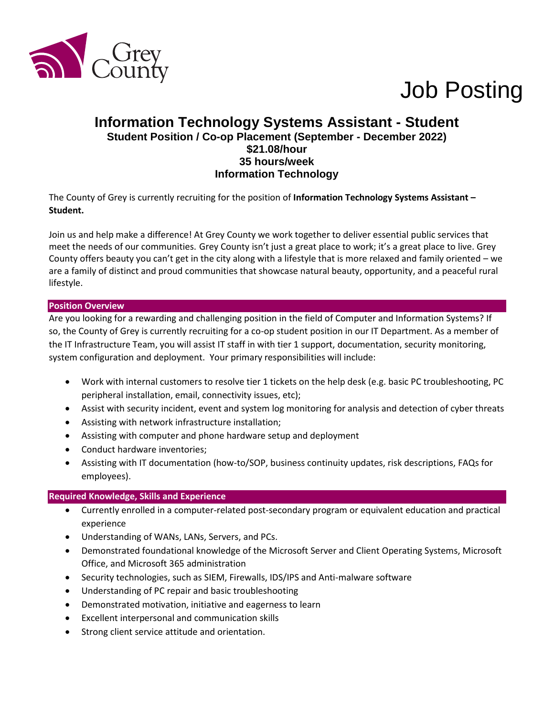

# Job Posting

# **Information Technology Systems Assistant - Student Student Position / Co-op Placement (September - December 2022) \$21.08/hour 35 hours/week Information Technology**

The County of Grey is currently recruiting for the position of **Information Technology Systems Assistant – Student.**

Join us and help make a difference! At Grey County we work together to deliver essential public services that meet the needs of our communities. Grey County isn't just a great place to work; it's a great place to live. Grey County offers beauty you can't get in the city along with a lifestyle that is more relaxed and family oriented – we are a family of distinct and proud communities that showcase natural beauty, opportunity, and a peaceful rural lifestyle.

### **Position Overview**

Are you looking for a rewarding and challenging position in the field of Computer and Information Systems? If so, the County of Grey is currently recruiting for a co-op student position in our IT Department. As a member of the IT Infrastructure Team, you will assist IT staff in with tier 1 support, documentation, security monitoring, system configuration and deployment. Your primary responsibilities will include:

- Work with internal customers to resolve tier 1 tickets on the help desk (e.g. basic PC troubleshooting, PC peripheral installation, email, connectivity issues, etc);
- Assist with security incident, event and system log monitoring for analysis and detection of cyber threats
- Assisting with network infrastructure installation;
- Assisting with computer and phone hardware setup and deployment
- Conduct hardware inventories;
- Assisting with IT documentation (how-to/SOP, business continuity updates, risk descriptions, FAQs for employees).

#### **Required Knowledge, Skills and Experience**

- Currently enrolled in a computer-related post-secondary program or equivalent education and practical experience
- Understanding of WANs, LANs, Servers, and PCs.
- Demonstrated foundational knowledge of the Microsoft Server and Client Operating Systems, Microsoft Office, and Microsoft 365 administration
- Security technologies, such as SIEM, Firewalls, IDS/IPS and Anti-malware software
- Understanding of PC repair and basic troubleshooting
- Demonstrated motivation, initiative and eagerness to learn
- Excellent interpersonal and communication skills
- Strong client service attitude and orientation.